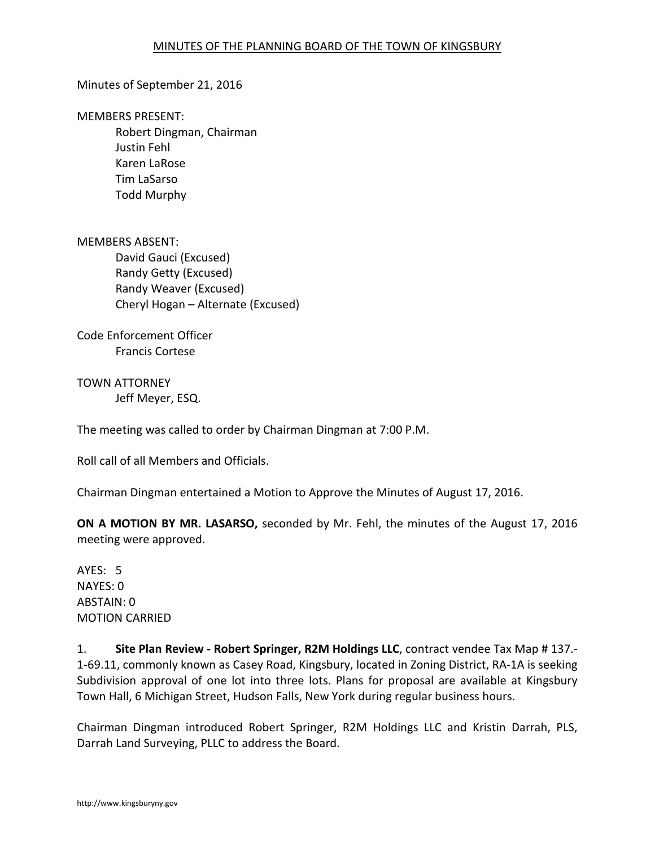### Minutes of September 21, 2016

MEMBERS PRESENT:

Robert Dingman, Chairman Justin Fehl Karen LaRose Tim LaSarso Todd Murphy

MEMBERS ABSENT: David Gauci (Excused) Randy Getty (Excused) Randy Weaver (Excused) Cheryl Hogan – Alternate (Excused)

Code Enforcement Officer Francis Cortese

TOWN ATTORNEY Jeff Meyer, ESQ.

The meeting was called to order by Chairman Dingman at 7:00 P.M.

Roll call of all Members and Officials.

Chairman Dingman entertained a Motion to Approve the Minutes of August 17, 2016.

**ON A MOTION BY MR. LASARSO,** seconded by Mr. Fehl, the minutes of the August 17, 2016 meeting were approved.

AYES: 5 NAYES: 0 ABSTAIN: 0 MOTION CARRIED

1. **Site Plan Review - Robert Springer, R2M Holdings LLC**, contract vendee Tax Map # 137.- 1-69.11, commonly known as Casey Road, Kingsbury, located in Zoning District, RA-1A is seeking Subdivision approval of one lot into three lots. Plans for proposal are available at Kingsbury Town Hall, 6 Michigan Street, Hudson Falls, New York during regular business hours.

Chairman Dingman introduced Robert Springer, R2M Holdings LLC and Kristin Darrah, PLS, Darrah Land Surveying, PLLC to address the Board.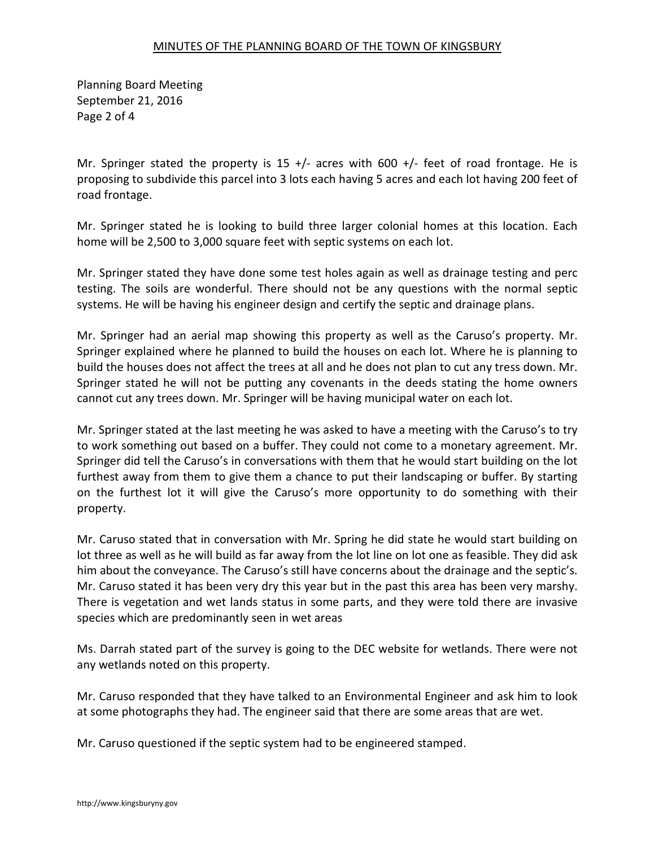Planning Board Meeting September 21, 2016 Page 2 of 4

Mr. Springer stated the property is 15  $+/-$  acres with 600  $+/-$  feet of road frontage. He is proposing to subdivide this parcel into 3 lots each having 5 acres and each lot having 200 feet of road frontage.

Mr. Springer stated he is looking to build three larger colonial homes at this location. Each home will be 2,500 to 3,000 square feet with septic systems on each lot.

Mr. Springer stated they have done some test holes again as well as drainage testing and perc testing. The soils are wonderful. There should not be any questions with the normal septic systems. He will be having his engineer design and certify the septic and drainage plans.

Mr. Springer had an aerial map showing this property as well as the Caruso's property. Mr. Springer explained where he planned to build the houses on each lot. Where he is planning to build the houses does not affect the trees at all and he does not plan to cut any tress down. Mr. Springer stated he will not be putting any covenants in the deeds stating the home owners cannot cut any trees down. Mr. Springer will be having municipal water on each lot.

Mr. Springer stated at the last meeting he was asked to have a meeting with the Caruso's to try to work something out based on a buffer. They could not come to a monetary agreement. Mr. Springer did tell the Caruso's in conversations with them that he would start building on the lot furthest away from them to give them a chance to put their landscaping or buffer. By starting on the furthest lot it will give the Caruso's more opportunity to do something with their property.

Mr. Caruso stated that in conversation with Mr. Spring he did state he would start building on lot three as well as he will build as far away from the lot line on lot one as feasible. They did ask him about the conveyance. The Caruso's still have concerns about the drainage and the septic's. Mr. Caruso stated it has been very dry this year but in the past this area has been very marshy. There is vegetation and wet lands status in some parts, and they were told there are invasive species which are predominantly seen in wet areas

Ms. Darrah stated part of the survey is going to the DEC website for wetlands. There were not any wetlands noted on this property.

Mr. Caruso responded that they have talked to an Environmental Engineer and ask him to look at some photographs they had. The engineer said that there are some areas that are wet.

Mr. Caruso questioned if the septic system had to be engineered stamped.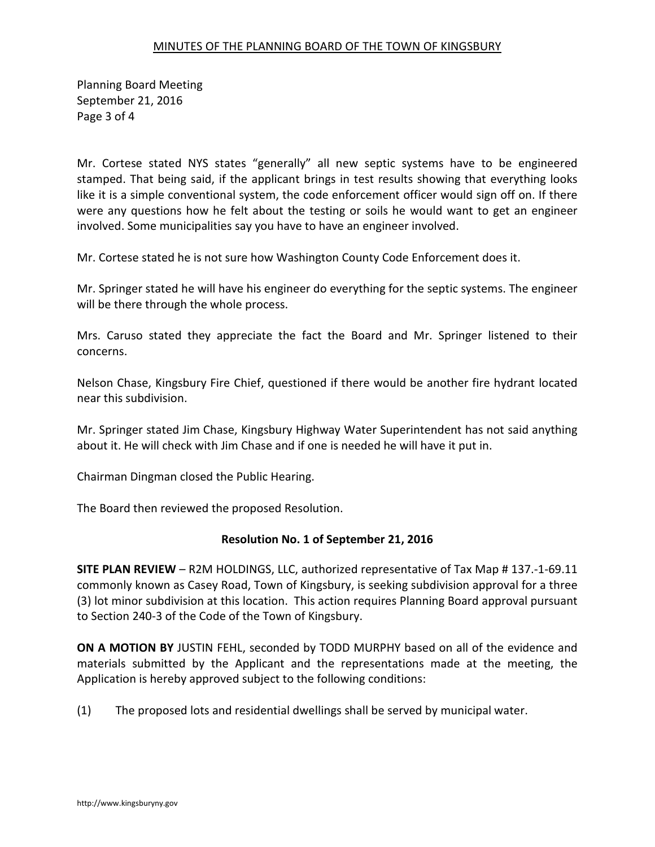Planning Board Meeting September 21, 2016 Page 3 of 4

Mr. Cortese stated NYS states "generally" all new septic systems have to be engineered stamped. That being said, if the applicant brings in test results showing that everything looks like it is a simple conventional system, the code enforcement officer would sign off on. If there were any questions how he felt about the testing or soils he would want to get an engineer involved. Some municipalities say you have to have an engineer involved.

Mr. Cortese stated he is not sure how Washington County Code Enforcement does it.

Mr. Springer stated he will have his engineer do everything for the septic systems. The engineer will be there through the whole process.

Mrs. Caruso stated they appreciate the fact the Board and Mr. Springer listened to their concerns.

Nelson Chase, Kingsbury Fire Chief, questioned if there would be another fire hydrant located near this subdivision.

Mr. Springer stated Jim Chase, Kingsbury Highway Water Superintendent has not said anything about it. He will check with Jim Chase and if one is needed he will have it put in.

Chairman Dingman closed the Public Hearing.

The Board then reviewed the proposed Resolution.

### **Resolution No. 1 of September 21, 2016**

**SITE PLAN REVIEW** – R2M HOLDINGS, LLC, authorized representative of Tax Map # 137.-1-69.11 commonly known as Casey Road, Town of Kingsbury, is seeking subdivision approval for a three (3) lot minor subdivision at this location. This action requires Planning Board approval pursuant to Section 240-3 of the Code of the Town of Kingsbury.

**ON A MOTION BY** JUSTIN FEHL, seconded by TODD MURPHY based on all of the evidence and materials submitted by the Applicant and the representations made at the meeting, the Application is hereby approved subject to the following conditions:

(1) The proposed lots and residential dwellings shall be served by municipal water.